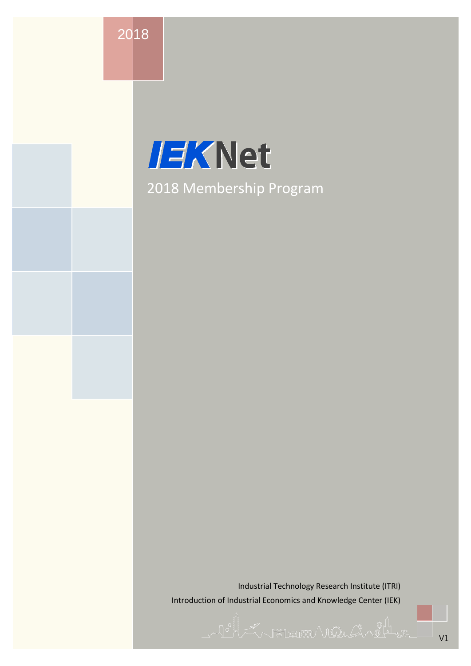2018

# **IEKNet** 2018 Membership Program

Industrial Technology Research Institute (ITRI) Introduction of Industrial Economics and Knowledge Center (IEK)

Le la Constitution de la Constitution de la Constitution de la Constitution de la Constitution de la Constitut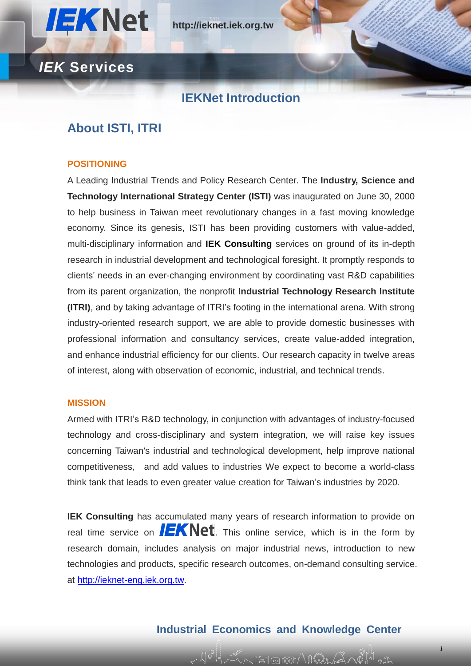

#### **IEKNet Introduction**

### **About ISTI, ITRI**

#### **POSITIONING**

A Leading Industrial Trends and Policy Research Center. The **Industry, Science and Technology International Strategy Center (ISTI)** was inaugurated on June 30, 2000 to help business in Taiwan meet revolutionary changes in a fast moving knowledge economy. Since its genesis, ISTI has been providing customers with value-added, multi-disciplinary information and **IEK Consulting** services on ground of its in-depth research in industrial development and technological foresight. It promptly responds to clients' needs in an ever-changing environment by coordinating vast R&D capabilities from its parent organization, the nonprofit **Industrial Technology Research Institute (ITRI)**, and by taking advantage of ITRI's footing in the international arena. With strong industry-oriented research support, we are able to provide domestic businesses with professional information and consultancy services, create value-added integration, and enhance industrial efficiency for our clients. Our research capacity in twelve areas of interest, along with observation of economic, industrial, and technical trends.

#### **MISSION**

Armed with ITRI's R&D technology, in conjunction with advantages of industry-focused technology and cross-disciplinary and system integration, we will raise key issues concerning Taiwan's industrial and technological development, help improve national competitiveness, and add values to industries We expect to become a world-class think tank that leads to even greater value creation for Taiwan's industries by 2020.

**IEK Consulting** has accumulated many years of research information to provide on real time service on  $I$   $E$   $K$   $N$  et . This online service, which is in the form by research domain, includes analysis on major industrial news, introduction to new technologies and products, specific research outcomes, on-demand consulting service. at [http://ieknet-eng.iek.org.tw.](http://ieknet-eng.iek.org.tw/)

#### **Industrial Economics and Knowledge Center**

h <del>m</del> ra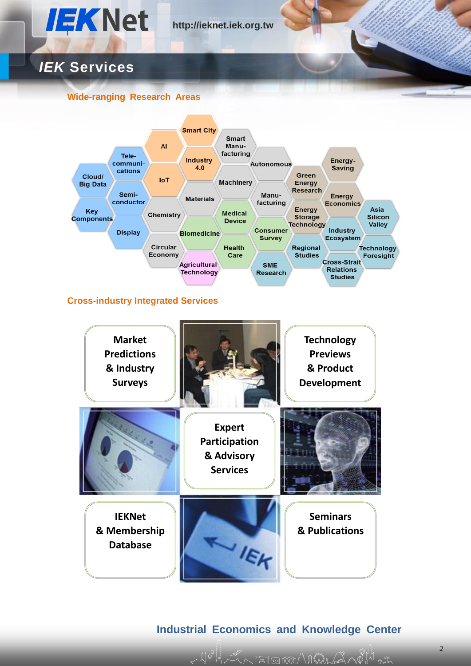

#### **Wide-ranging Research Areas**

**IEKNet & Membership Database**



**Participation & Advisory Services**

**Industrial Economics and Knowledge Center**

**IEK** 

**Seminars & Publications**

V FALENTTU' VI MA LA KILIL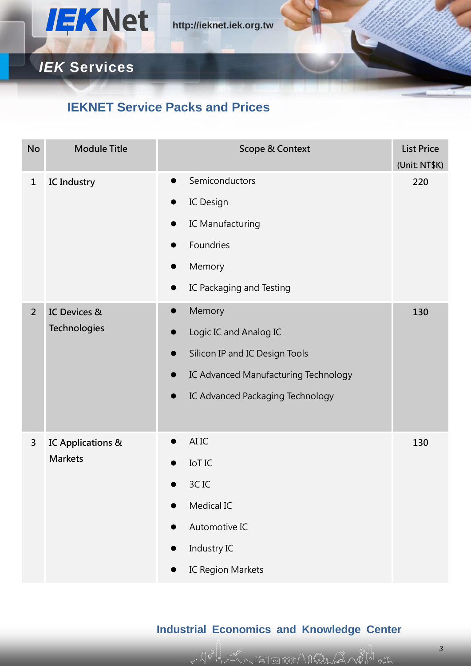

### **IEKNET Service Packs and Prices**

| <b>No</b>    | <b>Module Title</b>                            | <b>Scope &amp; Context</b>                                                                                                                                       | <b>List Price</b><br>(Unit: NT\$K) |
|--------------|------------------------------------------------|------------------------------------------------------------------------------------------------------------------------------------------------------------------|------------------------------------|
| $\mathbf{1}$ | <b>IC Industry</b><br>$\bullet$                | Semiconductors<br>IC Design<br>IC Manufacturing                                                                                                                  | 220                                |
|              |                                                | Foundries<br>D<br>Memory<br>$\bullet$<br>IC Packaging and Testing                                                                                                |                                    |
| $2^{\circ}$  | <b>IC Devices &amp;</b><br><b>Technologies</b> | Memory<br>$\bullet$<br>Logic IC and Analog IC<br>Silicon IP and IC Design Tools<br>IC Advanced Manufacturing Technology<br>IC Advanced Packaging Technology<br>D | 130                                |
| 3            | IC Applications &<br><b>Markets</b>            | AI IC<br>$\bullet$<br><b>IOTIC</b><br>3CIC<br>Medical IC<br>Automotive IC<br>Industry IC<br>IC Region Markets                                                    | 130                                |

### **Industrial Economics and Knowledge Center**

ZA FETERINY MÜLLA ALALA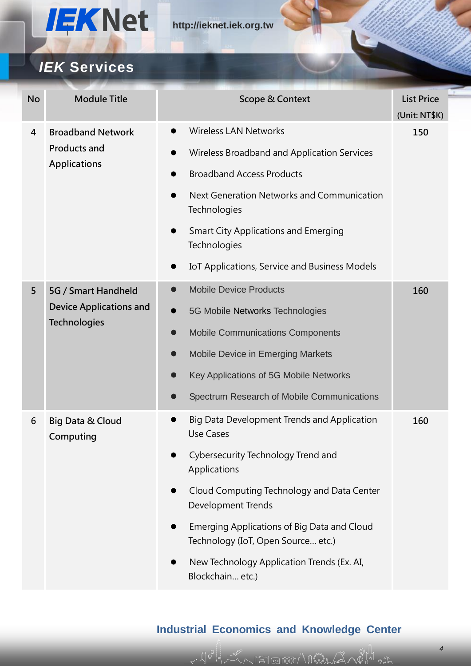

## *IEK* **Services**

| <b>No</b> | <b>Module Title</b>                                                          | Scope & Context                                                                   | <b>List Price</b><br>(Unit: NT\$K) |
|-----------|------------------------------------------------------------------------------|-----------------------------------------------------------------------------------|------------------------------------|
| 4         | <b>Broadband Network</b><br><b>Products and</b><br><b>Applications</b>       | <b>Wireless LAN Networks</b>                                                      | 150                                |
|           |                                                                              | Wireless Broadband and Application Services<br>$\bullet$                          |                                    |
|           |                                                                              | <b>Broadband Access Products</b>                                                  |                                    |
|           |                                                                              | Next Generation Networks and Communication<br>$\bullet$<br>Technologies           |                                    |
|           |                                                                              | <b>Smart City Applications and Emerging</b><br>$\bullet$<br>Technologies          |                                    |
|           |                                                                              | IoT Applications, Service and Business Models<br>$\bullet$                        |                                    |
| 5         | 5G / Smart Handheld<br><b>Device Applications and</b><br><b>Technologies</b> | <b>Mobile Device Products</b><br>$\bullet$                                        | 160                                |
|           |                                                                              | 5G Mobile Networks Technologies<br>$\bullet$                                      |                                    |
|           |                                                                              | <b>Mobile Communications Components</b><br>0                                      |                                    |
|           |                                                                              | <b>Mobile Device in Emerging Markets</b><br>0                                     |                                    |
|           |                                                                              | Key Applications of 5G Mobile Networks                                            |                                    |
|           |                                                                              | Spectrum Research of Mobile Communications                                        |                                    |
| 6         | <b>Big Data &amp; Cloud</b><br>Computing                                     | Big Data Development Trends and Application<br><b>Use Cases</b>                   | 160                                |
|           |                                                                              | Cybersecurity Technology Trend and<br>Applications                                |                                    |
|           |                                                                              | Cloud Computing Technology and Data Center<br>Development Trends                  |                                    |
|           |                                                                              | Emerging Applications of Big Data and Cloud<br>Technology (IoT, Open Source etc.) |                                    |
|           |                                                                              | New Technology Application Trends (Ex. AI,<br>Blockchain etc.)                    |                                    |

### **Industrial Economics and Knowledge Center**

Jollen Fleuww Vinden Charles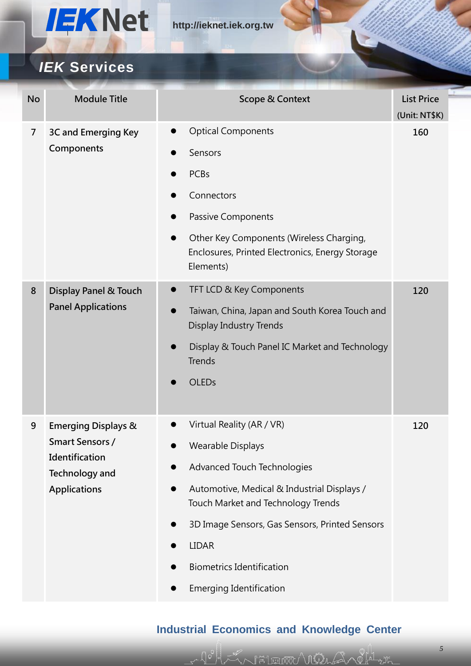

| <b>No</b>      | <b>Module Title</b>                                                        | <b>Scope &amp; Context</b>                                                                                            | <b>List Price</b><br>(Unit: NT\$K) |
|----------------|----------------------------------------------------------------------------|-----------------------------------------------------------------------------------------------------------------------|------------------------------------|
| $\overline{7}$ | 3C and Emerging Key<br>Components                                          | <b>Optical Components</b><br>$\bullet$                                                                                | 160                                |
|                |                                                                            | Sensors                                                                                                               |                                    |
|                |                                                                            | <b>PCBs</b>                                                                                                           |                                    |
|                |                                                                            | Connectors                                                                                                            |                                    |
|                |                                                                            | Passive Components                                                                                                    |                                    |
|                |                                                                            | Other Key Components (Wireless Charging,<br>$\bullet$<br>Enclosures, Printed Electronics, Energy Storage<br>Elements) |                                    |
| 8              | <b>Display Panel &amp; Touch</b>                                           | TFT LCD & Key Components<br>$\bullet$                                                                                 | 120                                |
|                | <b>Panel Applications</b>                                                  | Taiwan, China, Japan and South Korea Touch and<br>Display Industry Trends                                             |                                    |
|                |                                                                            | Display & Touch Panel IC Market and Technology<br><b>Trends</b>                                                       |                                    |
|                |                                                                            | <b>OLEDs</b>                                                                                                          |                                    |
| 9              | <b>Emerging Displays &amp;</b>                                             | Virtual Reality (AR / VR)                                                                                             | 120                                |
|                | Smart Sensors /<br>Identification<br>Technology and<br><b>Applications</b> | <b>Wearable Displays</b>                                                                                              |                                    |
|                |                                                                            | Advanced Touch Technologies                                                                                           |                                    |
|                |                                                                            | Automotive, Medical & Industrial Displays /<br>$\bullet$<br>Touch Market and Technology Trends                        |                                    |
|                |                                                                            | 3D Image Sensors, Gas Sensors, Printed Sensors                                                                        |                                    |
|                |                                                                            | <b>LIDAR</b>                                                                                                          |                                    |
|                |                                                                            | <b>Biometrics Identification</b>                                                                                      |                                    |
|                |                                                                            | <b>Emerging Identification</b>                                                                                        |                                    |

### **Industrial Economics and Knowledge Center**

John Show Hill was a formally the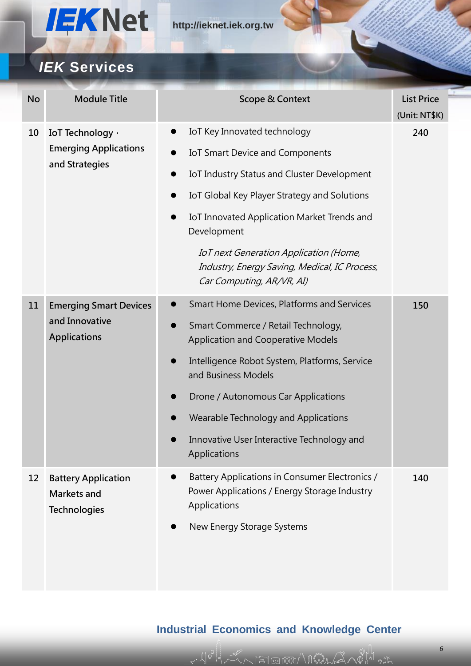

## *IEK* **Services**

| <b>No</b> | <b>Module Title</b>                                                    | <b>Scope &amp; Context</b>                                                                                                  | <b>List Price</b><br>(Unit: NT\$K) |
|-----------|------------------------------------------------------------------------|-----------------------------------------------------------------------------------------------------------------------------|------------------------------------|
| 10        | IoT Technology ·<br><b>Emerging Applications</b><br>and Strategies     | IoT Key Innovated technology<br>$\bullet$                                                                                   | 240                                |
|           |                                                                        | IoT Smart Device and Components<br>$\bullet$                                                                                |                                    |
|           |                                                                        | IoT Industry Status and Cluster Development<br>$\bullet$                                                                    |                                    |
|           |                                                                        | IoT Global Key Player Strategy and Solutions<br>$\bullet$                                                                   |                                    |
|           |                                                                        | IoT Innovated Application Market Trends and<br>$\bullet$<br>Development                                                     |                                    |
|           |                                                                        | <b>IoT next Generation Application (Home,</b><br>Industry, Energy Saving, Medical, IC Process,<br>Car Computing, AR/VR, AI) |                                    |
| 11        | <b>Emerging Smart Devices</b><br>and Innovative<br><b>Applications</b> | Smart Home Devices, Platforms and Services<br>$\bullet$                                                                     | 150                                |
|           |                                                                        | Smart Commerce / Retail Technology,<br>$\bullet$<br><b>Application and Cooperative Models</b>                               |                                    |
|           |                                                                        | Intelligence Robot System, Platforms, Service<br>$\bullet$<br>and Business Models                                           |                                    |
|           |                                                                        | Drone / Autonomous Car Applications                                                                                         |                                    |
|           |                                                                        | Wearable Technology and Applications                                                                                        |                                    |
|           |                                                                        | Innovative User Interactive Technology and<br>Applications                                                                  |                                    |
| 12        | <b>Battery Application</b><br>Markets and<br><b>Technologies</b>       | Battery Applications in Consumer Electronics /<br>$\bullet$<br>Power Applications / Energy Storage Industry<br>Applications | 140                                |
|           |                                                                        | New Energy Storage Systems                                                                                                  |                                    |

### **Industrial Economics and Knowledge Center**

ZA FATERINN VILLE ARIE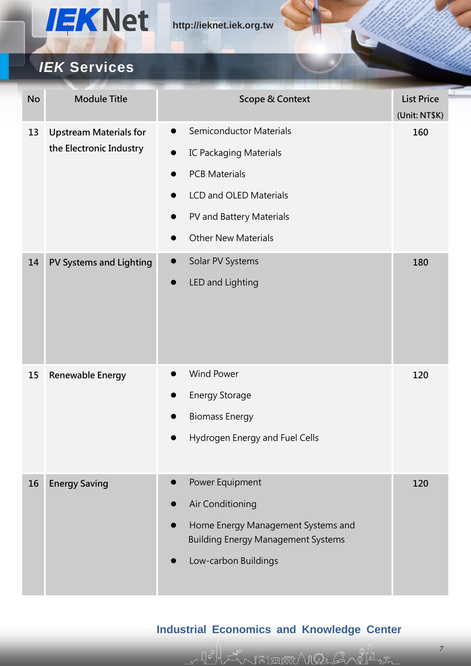

| <b>No</b> | <b>Module Title</b>                                      | <b>Scope &amp; Context</b>                  | <b>List Price</b><br>(Unit: NT\$K) |
|-----------|----------------------------------------------------------|---------------------------------------------|------------------------------------|
| 13        | <b>Upstream Materials for</b><br>the Electronic Industry | <b>Semiconductor Materials</b><br>$\bullet$ | 160                                |
|           |                                                          | <b>IC Packaging Materials</b><br>$\bullet$  |                                    |
|           |                                                          | <b>PCB Materials</b>                        |                                    |
|           |                                                          | LCD and OLED Materials                      |                                    |
|           |                                                          | PV and Battery Materials<br>D               |                                    |
|           |                                                          | <b>Other New Materials</b>                  |                                    |
| 14        | <b>PV Systems and Lighting</b>                           | Solar PV Systems<br>$\bullet$               | 180                                |
|           |                                                          | LED and Lighting<br>D                       |                                    |
|           |                                                          |                                             |                                    |
| 15        | Renewable Energy                                         | <b>Wind Power</b><br>$\bullet$              | 120                                |
|           |                                                          | <b>Energy Storage</b>                       |                                    |
|           |                                                          | <b>Biomass Energy</b><br>$\bullet$          |                                    |
|           |                                                          | Hydrogen Energy and Fuel Cells              |                                    |
|           |                                                          |                                             |                                    |
| 16        | <b>Energy Saving</b>                                     | Power Equipment<br>$\bullet$                | 120                                |
|           |                                                          | Air Conditioning                            |                                    |
|           |                                                          | Home Energy Management Systems and          |                                    |
|           |                                                          | <b>Building Energy Management Systems</b>   |                                    |
|           |                                                          | Low-carbon Buildings                        |                                    |
|           |                                                          |                                             |                                    |

### **Industrial Economics and Knowledge Center**

Johan Hinman Villa Anglanta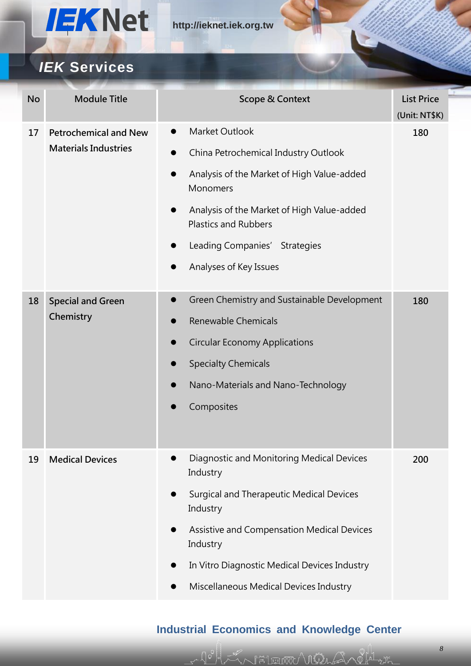

## *IEK* **Services**

| <b>No</b> | <b>Module Title</b>                                                                   | <b>Scope &amp; Context</b>                                                | <b>List Price</b><br>(Unit: NT\$K) |
|-----------|---------------------------------------------------------------------------------------|---------------------------------------------------------------------------|------------------------------------|
| 17        | <b>Petrochemical and New</b><br><b>Materials Industries</b><br>$\bullet$<br>$\bullet$ | Market Outlook                                                            | 180                                |
|           |                                                                                       | China Petrochemical Industry Outlook                                      |                                    |
|           |                                                                                       | Analysis of the Market of High Value-added<br>Monomers                    |                                    |
|           |                                                                                       | Analysis of the Market of High Value-added<br><b>Plastics and Rubbers</b> |                                    |
|           |                                                                                       | Leading Companies' Strategies                                             |                                    |
|           |                                                                                       | Analyses of Key Issues                                                    |                                    |
| 18        | <b>Special and Green</b>                                                              | Green Chemistry and Sustainable Development<br>$\bullet$                  | 180                                |
|           | Chemistry                                                                             | Renewable Chemicals                                                       |                                    |
|           |                                                                                       | <b>Circular Economy Applications</b><br>$\bullet$                         |                                    |
|           |                                                                                       | <b>Specialty Chemicals</b>                                                |                                    |
|           |                                                                                       | Nano-Materials and Nano-Technology                                        |                                    |
|           |                                                                                       | Composites                                                                |                                    |
|           |                                                                                       |                                                                           |                                    |
| 19        | <b>Medical Devices</b>                                                                | Diagnostic and Monitoring Medical Devices<br>Industry                     | 200                                |
|           |                                                                                       | <b>Surgical and Therapeutic Medical Devices</b><br>$\bullet$<br>Industry  |                                    |
|           |                                                                                       | Assistive and Compensation Medical Devices<br>Industry                    |                                    |
|           |                                                                                       | In Vitro Diagnostic Medical Devices Industry                              |                                    |
|           |                                                                                       | Miscellaneous Medical Devices Industry                                    |                                    |

### **Industrial Economics and Knowledge Center**

John Show Hill was a formally the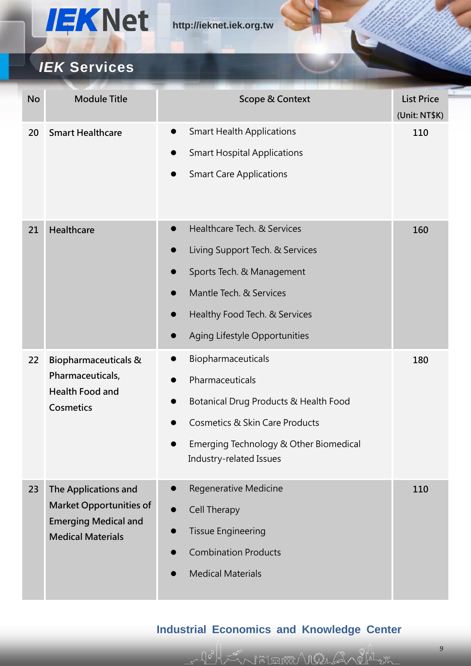

| <b>No</b> | <b>Module Title</b>                                            | <b>Scope &amp; Context</b>                    | <b>List Price</b><br>(Unit: NT\$K) |
|-----------|----------------------------------------------------------------|-----------------------------------------------|------------------------------------|
| 20        | <b>Smart Healthcare</b>                                        | <b>Smart Health Applications</b><br>$\bullet$ | 110                                |
|           |                                                                | <b>Smart Hospital Applications</b>            |                                    |
|           |                                                                | <b>Smart Care Applications</b><br>0           |                                    |
| 21        | Healthcare                                                     | Healthcare Tech. & Services<br>$\bullet$      | 160                                |
|           |                                                                | Living Support Tech. & Services<br>9          |                                    |
|           |                                                                | Sports Tech. & Management                     |                                    |
|           |                                                                | Mantle Tech. & Services                       |                                    |
|           |                                                                | Healthy Food Tech. & Services<br>9            |                                    |
|           |                                                                | Aging Lifestyle Opportunities                 |                                    |
| 22        | <b>Biopharmaceuticals &amp;</b>                                | Biopharmaceuticals                            | 180                                |
|           | Pharmaceuticals,<br><b>Health Food and</b><br><b>Cosmetics</b> | Pharmaceuticals                               |                                    |
|           |                                                                | Botanical Drug Products & Health Food         |                                    |
|           |                                                                | <b>Cosmetics &amp; Skin Care Products</b>     |                                    |
|           |                                                                | Emerging Technology & Other Biomedical        |                                    |
|           |                                                                | Industry-related Issues                       |                                    |
| 23        | The Applications and                                           | Regenerative Medicine<br>$\bullet$            | 110                                |
|           | <b>Market Opportunities of</b>                                 | <b>Cell Therapy</b>                           |                                    |
|           | <b>Emerging Medical and</b><br><b>Medical Materials</b>        | <b>Tissue Engineering</b><br>0                |                                    |
|           |                                                                | <b>Combination Products</b>                   |                                    |
|           |                                                                | <b>Medical Materials</b>                      |                                    |
|           |                                                                |                                               |                                    |

### **Industrial Economics and Knowledge Center**

John Mind With Strikt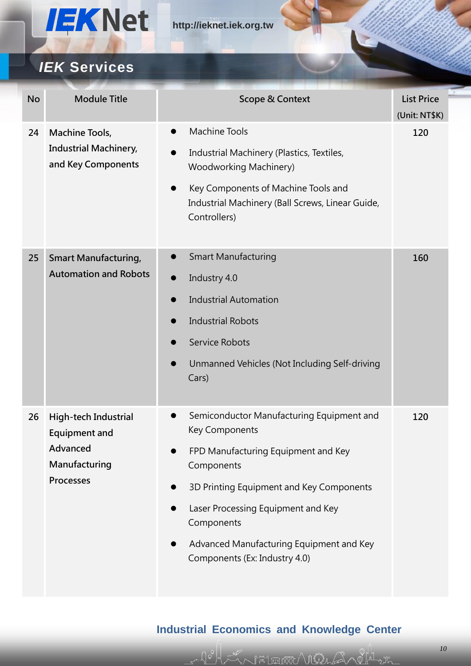

| <b>No</b> | <b>Module Title</b>                                                                    | <b>Scope &amp; Context</b>                                                                                                                                                                                                                                                                                                                               | <b>List Price</b><br>(Unit: NT\$K) |
|-----------|----------------------------------------------------------------------------------------|----------------------------------------------------------------------------------------------------------------------------------------------------------------------------------------------------------------------------------------------------------------------------------------------------------------------------------------------------------|------------------------------------|
| 24        | Machine Tools,<br><b>Industrial Machinery,</b><br>and Key Components                   | <b>Machine Tools</b><br>$\bullet$<br>Industrial Machinery (Plastics, Textiles,<br><b>Woodworking Machinery)</b><br>Key Components of Machine Tools and<br>Industrial Machinery (Ball Screws, Linear Guide,<br>Controllers)                                                                                                                               | 120                                |
| 25        | <b>Smart Manufacturing,</b><br><b>Automation and Robots</b>                            | <b>Smart Manufacturing</b><br>$\bullet$<br>Industry 4.0<br>$\bullet$<br><b>Industrial Automation</b><br><b>Industrial Robots</b><br><b>Service Robots</b><br>Unmanned Vehicles (Not Including Self-driving<br>Cars)                                                                                                                                      | 160                                |
| 26        | High-tech Industrial<br><b>Equipment and</b><br>Advanced<br>Manufacturing<br>Processes | Semiconductor Manufacturing Equipment and<br><b>Key Components</b><br>FPD Manufacturing Equipment and Key<br>$\bullet$<br>Components<br>3D Printing Equipment and Key Components<br>$\bullet$<br>Laser Processing Equipment and Key<br>$\bullet$<br>Components<br>Advanced Manufacturing Equipment and Key<br>$\bullet$<br>Components (Ex: Industry 4.0) | 120                                |

### **Industrial Economics and Knowledge Center**

LANFIEUWA VIILA ALALA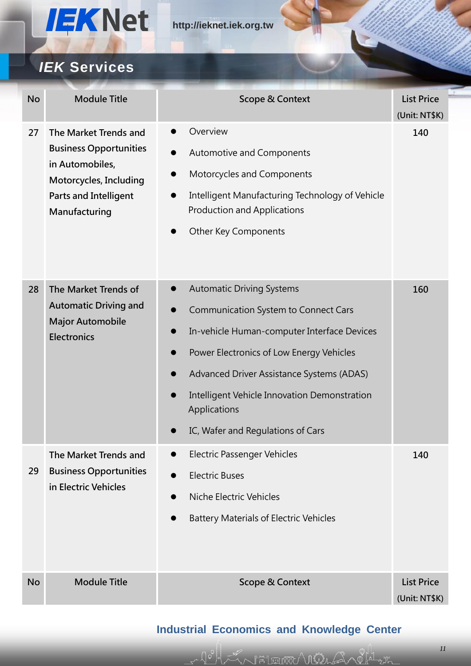

| <b>No</b> | <b>Module Title</b>                                                                                                                                  | <b>Scope &amp; Context</b>                                                                                                                                                                                                                                                                                                                     | <b>List Price</b><br>(Unit: NT\$K) |
|-----------|------------------------------------------------------------------------------------------------------------------------------------------------------|------------------------------------------------------------------------------------------------------------------------------------------------------------------------------------------------------------------------------------------------------------------------------------------------------------------------------------------------|------------------------------------|
| 27        | The Market Trends and<br><b>Business Opportunities</b><br>in Automobiles,<br>Motorcycles, Including<br><b>Parts and Intelligent</b><br>Manufacturing | Overview<br>Automotive and Components<br>0<br>Motorcycles and Components<br>0<br>Intelligent Manufacturing Technology of Vehicle<br>$\bullet$<br><b>Production and Applications</b><br>Other Key Components                                                                                                                                    | 140                                |
| 28        | The Market Trends of<br><b>Automatic Driving and</b><br><b>Major Automobile</b><br><b>Electronics</b>                                                | <b>Automatic Driving Systems</b><br>$\bullet$<br><b>Communication System to Connect Cars</b><br>In-vehicle Human-computer Interface Devices<br>Power Electronics of Low Energy Vehicles<br>0<br>Advanced Driver Assistance Systems (ADAS)<br>Intelligent Vehicle Innovation Demonstration<br>Applications<br>IC, Wafer and Regulations of Cars | 160                                |
| 29        | The Market Trends and<br><b>Business Opportunities</b><br>in Electric Vehicles                                                                       | <b>Electric Passenger Vehicles</b><br><b>Electric Buses</b><br>$\bullet$<br>Niche Electric Vehicles<br><b>Battery Materials of Electric Vehicles</b>                                                                                                                                                                                           | 140                                |
| <b>No</b> | <b>Module Title</b>                                                                                                                                  | <b>Scope &amp; Context</b>                                                                                                                                                                                                                                                                                                                     | <b>List Price</b><br>(Unit: NT\$K) |

### **Industrial Economics and Knowledge Center**

Johan Filmoon Vina Sachara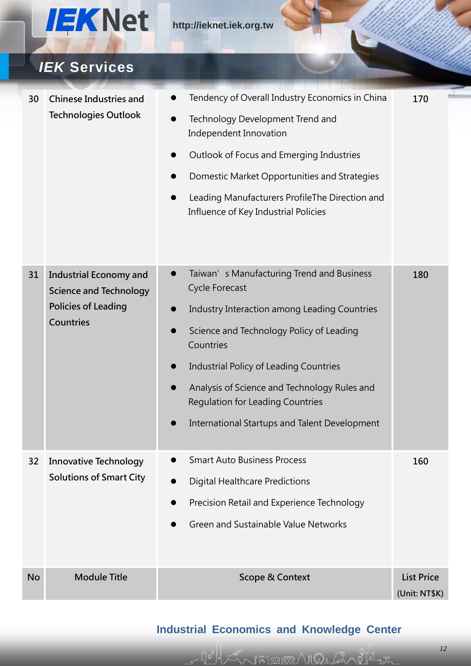

| 30 | <b>Chinese Industries and</b>                                  | Tendency of Overall Industry Economics in China                                                      | 170 |
|----|----------------------------------------------------------------|------------------------------------------------------------------------------------------------------|-----|
|    | <b>Technologies Outlook</b>                                    | Technology Development Trend and<br>Independent Innovation                                           |     |
|    |                                                                | Outlook of Focus and Emerging Industries<br>$\bullet$                                                |     |
|    |                                                                | Domestic Market Opportunities and Strategies                                                         |     |
|    |                                                                | Leading Manufacturers ProfileThe Direction and<br>$\bullet$<br>Influence of Key Industrial Policies  |     |
|    |                                                                |                                                                                                      |     |
| 31 | <b>Industrial Economy and</b><br><b>Science and Technology</b> | Taiwan's Manufacturing Trend and Business<br>$\bullet$<br><b>Cycle Forecast</b>                      | 180 |
|    | <b>Policies of Leading</b>                                     | Industry Interaction among Leading Countries                                                         |     |
|    | <b>Countries</b>                                               | Science and Technology Policy of Leading<br>$\bullet$<br>Countries                                   |     |
|    |                                                                | Industrial Policy of Leading Countries                                                               |     |
|    |                                                                | Analysis of Science and Technology Rules and<br>$\bullet$<br><b>Regulation for Leading Countries</b> |     |
|    |                                                                | International Startups and Talent Development                                                        |     |
| 32 | <b>Innovative Technology</b>                                   | <b>Smart Auto Business Process</b>                                                                   | 160 |
|    | <b>Solutions of Smart City</b>                                 | <b>Digital Healthcare Predictions</b>                                                                |     |
|    |                                                                | Precision Retail and Experience Technology                                                           |     |
|    |                                                                | Green and Sustainable Value Networks                                                                 |     |
|    |                                                                |                                                                                                      |     |
|    |                                                                |                                                                                                      |     |

### **Industrial Economics and Knowledge Center**

10 LA FIEUWA VINASA LA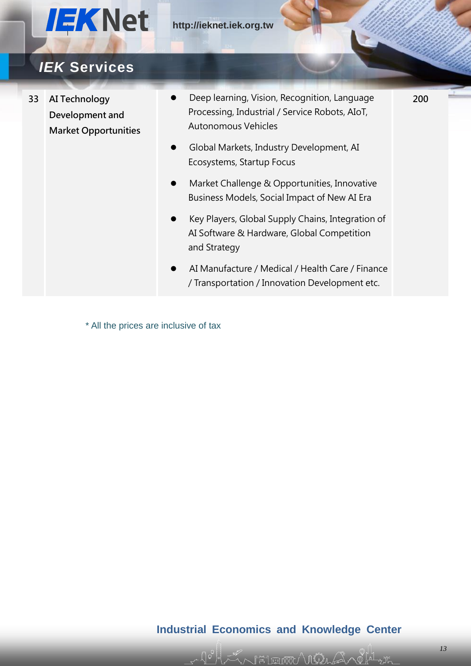

## *IEK* **Services**

- **33 AI Technology Development and Market Opportunities**
- Deep learning, Vision, Recognition, Language Processing, Industrial / Service Robots, AIoT, Autonomous Vehicles
- Global Markets, Industry Development, AI Ecosystems, Startup Focus
- Market Challenge & Opportunities, Innovative Business Models, Social Impact of New AI Era
- Key Players, Global Supply Chains, Integration of AI Software & Hardware, Global Competition and Strategy
- AI Manufacture / Medical / Health Care / Finance / Transportation / Innovation Development etc.

\* All the prices are inclusive of tax

#### **Industrial Economics and Knowledge Center**

F#1 EINXX) / MÅLA

**200**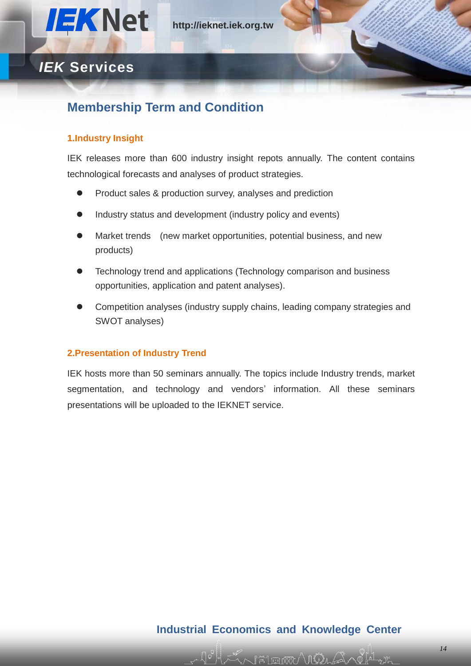

### **Membership Term and Condition**

#### **1.Industry Insight**

IEK releases more than 600 industry insight repots annually. The content contains technological forecasts and analyses of product strategies.

- Product sales & production survey, analyses and prediction
- Industry status and development (industry policy and events)
- Market trends (new market opportunities, potential business, and new products)
- Technology trend and applications (Technology comparison and business opportunities, application and patent analyses).
- Competition analyses (industry supply chains, leading company strategies and SWOT analyses)

#### **2.Presentation of Industry Trend**

IEK hosts more than 50 seminars annually. The topics include Industry trends, market segmentation, and technology and vendors' information. All these seminars presentations will be uploaded to the IEKNET service.

#### **Industrial Economics and Knowledge Center**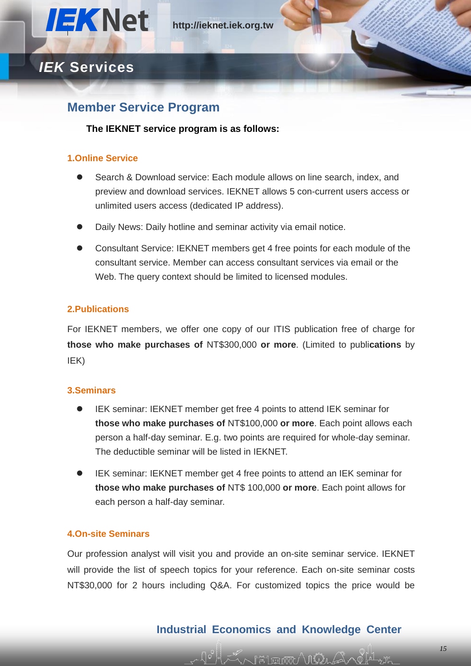

### **Member Service Program**

#### **The IEKNET service program is as follows:**

#### **1.Online Service**

- Search & Download service: Each module allows on line search, index, and preview and download services. IEKNET allows 5 con-current users access or unlimited users access (dedicated IP address).
- Daily News: Daily hotline and seminar activity via email notice.
- Consultant Service: IEKNET members get 4 free points for each module of the consultant service. Member can access consultant services via email or the Web. The query context should be limited to licensed modules.

#### **2.Publications**

For IEKNET members, we offer one copy of our ITIS publication free of charge for **those who make purchases of** NT\$300,000 **or more**. (Limited to publi**cations** by IEK)

#### **3.Seminars**

- IEK seminar: IEKNET member get free 4 points to attend IEK seminar for **those who make purchases of** NT\$100,000 **or more**. Each point allows each person a half-day seminar. E.g. two points are required for whole-day seminar. The deductible seminar will be listed in IEKNET.
- IEK seminar: IEKNET member get 4 free points to attend an IEK seminar for **those who make purchases of** NT\$ 100,000 **or more**. Each point allows for each person a half-day seminar.

#### **4.On-site Seminars**

Our profession analyst will visit you and provide an on-site seminar service. IEKNET will provide the list of speech topics for your reference. Each on-site seminar costs NT\$30,000 for 2 hours including Q&A. For customized topics the price would be

#### **Industrial Economics and Knowledge Center**

 $\mathbb{H}$  הגדו הא $\ell$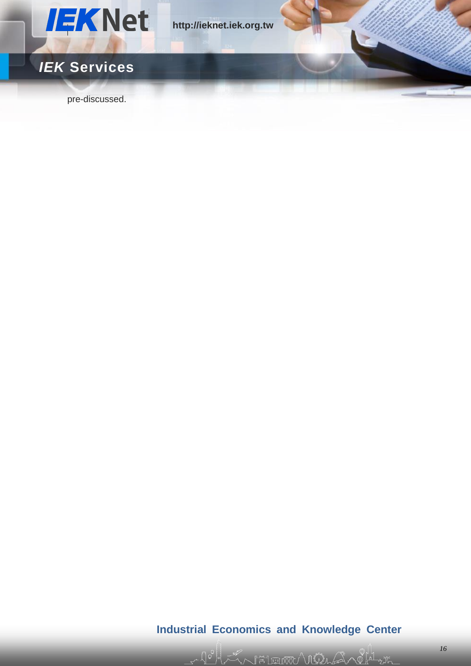

pre-discussed.

### **Industrial Economics and Knowledge Center**

Johan Filmoon Vina Sandra